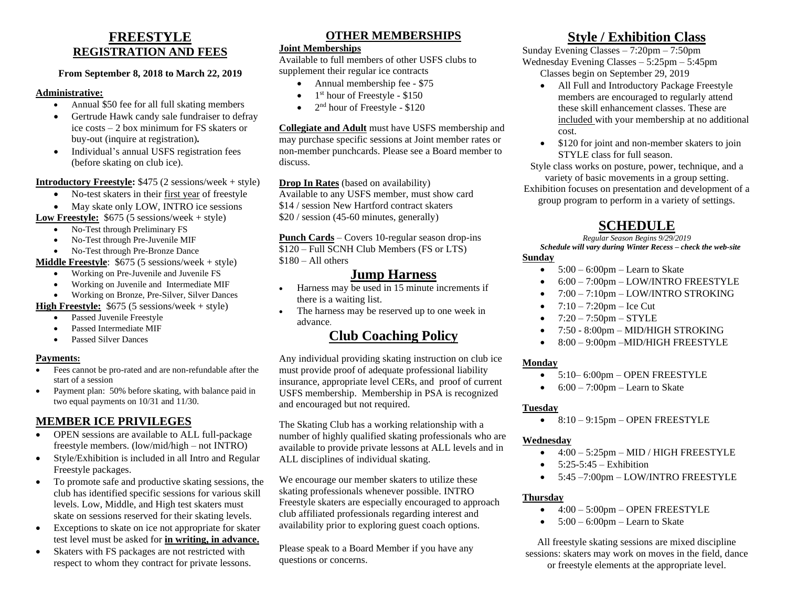## **FREESTYLE REGISTRATION AND FEES**

#### **From September 8, 2018 to March 22, 2019**

#### **Administrative:**

- Annual \$50 fee for all full skating members
- Gertrude Hawk candy sale fundraiser to defray ice costs – 2 box minimum for FS skaters or buy-out (inquire at registration)*.*
- Individual's annual USFS registration fees (before skating on club ice).

**Introductory Freestyle:** \$475 (2 sessions/week + style)

- No-test skaters in their first year of freestyle
- May skate only LOW, INTRO ice sessions

**Low Freestyle:** \$675 (5 sessions/week + style)

- No-Test through Preliminary FS
- No-Test through Pre-Juvenile MIF
- No-Test through Pre-Bronze Dance

**Middle Freestyle**: \$675 (5 sessions/week + style)

- Working on Pre-Juvenile and Juvenile FS
- Working on Juvenile and Intermediate MIF
- Working on Bronze, Pre-Silver, Silver Dances

**High Freestyle:** \$675 (5 sessions/week + style)

- Passed Juvenile Freestyle
- Passed Intermediate MIF
- Passed Silver Dances

### **Payments:**

- Fees cannot be pro-rated and are non-refundable after the start of a session
- Payment plan: 50% before skating, with balance paid in two equal payments on 10/31 and 11/30.

## **MEMBER ICE PRIVILEGES**

- OPEN sessions are available to ALL full-package freestyle members. (low/mid/high – not INTRO)
- Style/Exhibition is included in all Intro and Regular Freestyle packages.
- To promote safe and productive skating sessions, the club has identified specific sessions for various skill levels. Low, Middle, and High test skaters must skate on sessions reserved for their skating levels.
- Exceptions to skate on ice not appropriate for skater test level must be asked for **in writing, in advance.**
- Skaters with FS packages are not restricted with respect to whom they contract for private lessons.

## **OTHER MEMBERSHIPS**

### **Joint Memberships**

Available to full members of other USFS clubs to supplement their regular ice contracts

- Annual membership fee \$75
- $\bullet$  1<sup>st</sup> hour of Freestyle \$150
- $\bullet$  2<sup>nd</sup> hour of Freestyle \$120

**Collegiate and Adult** must have USFS membership and may purchase specific sessions at Joint member rates or non-member punchcards. Please see a Board member to discuss.

**Drop In Rates** (based on availability)

Available to any USFS member, must show card \$14 / session New Hartford contract skaters \$20 / session (45-60 minutes, generally)

**Punch Cards** – Covers 10-regular season drop-ins \$120 – Full SCNH Club Members (FS or LTS)  $$180 - Al1$  others

# **Jump Harness**

- Harness may be used in 15 minute increments if there is a waiting list.
- The harness may be reserved up to one week in advance.

# **Club Coaching Policy**

Any individual providing skating instruction on club ice must provide proof of adequate professional liability insurance, appropriate level CERs, and proof of current USFS membership. Membership in PSA is recognized and encouraged but not required.

The Skating Club has a working relationship with a number of highly qualified skating professionals who are available to provide private lessons at ALL levels and in ALL disciplines of individual skating.

We encourage our member skaters to utilize these skating professionals whenever possible. INTRO Freestyle skaters are especially encouraged to approach club affiliated professionals regarding interest and availability prior to exploring guest coach options.

Please speak to a Board Member if you have any questions or concerns.

# **Style / Exhibition Class**

Sunday Evening Classes – 7:20pm – 7:50pm Wednesday Evening Classes – 5:25pm – 5:45pm

- Classes begin on September 29, 2019
	- All Full and Introductory Package Freestyle members are encouraged to regularly attend these skill enhancement classes. These are included with your membership at no additional cost.
	- \$120 for joint and non-member skaters to join STYLE class for full season.

Style class works on posture, power, technique, and a variety of basic movements in a group setting. Exhibition focuses on presentation and development of a group program to perform in a variety of settings.

# **SCHEDULE**

#### *Regular Season Begins 9/29/2019*

*Schedule will vary during Winter Recess – check the web-site* **Sunday**

- $5:00 6:00$ pm Learn to Skate
- 6:00 7:00pm LOW/INTRO FREESTYLE
- 7:00 7:10pm LOW/INTRO STROKING
- $7:10 7:20$ pm Ice Cut
- $7:20 7:50$ pm STYLE
- 7:50 8:00pm MID/HIGH STROKING
- 8:00 9:00pm MID/HIGH FREESTYLE

### **Monday**

- 5:10–6:00pm OPEN FREESTYLE
- $\bullet$  6:00 7:00pm Learn to Skate

### **Tuesday**

 $\bullet$  8:10 – 9:15pm – OPEN FREESTYLE

### **Wednesday**

- $\bullet$  4:00 5:25pm MID / HIGH FREESTYLE
- $\bullet$  5:25-5:45 Exhibition
- 5:45 –7:00pm LOW/INTRO FREESTYLE

## **Thursday**

- $\bullet$  4:00 5:00pm OPEN FREESTYLE
- $\bullet$  5:00 6:00pm Learn to Skate

All freestyle skating sessions are mixed discipline sessions: skaters may work on moves in the field, dance or freestyle elements at the appropriate level.